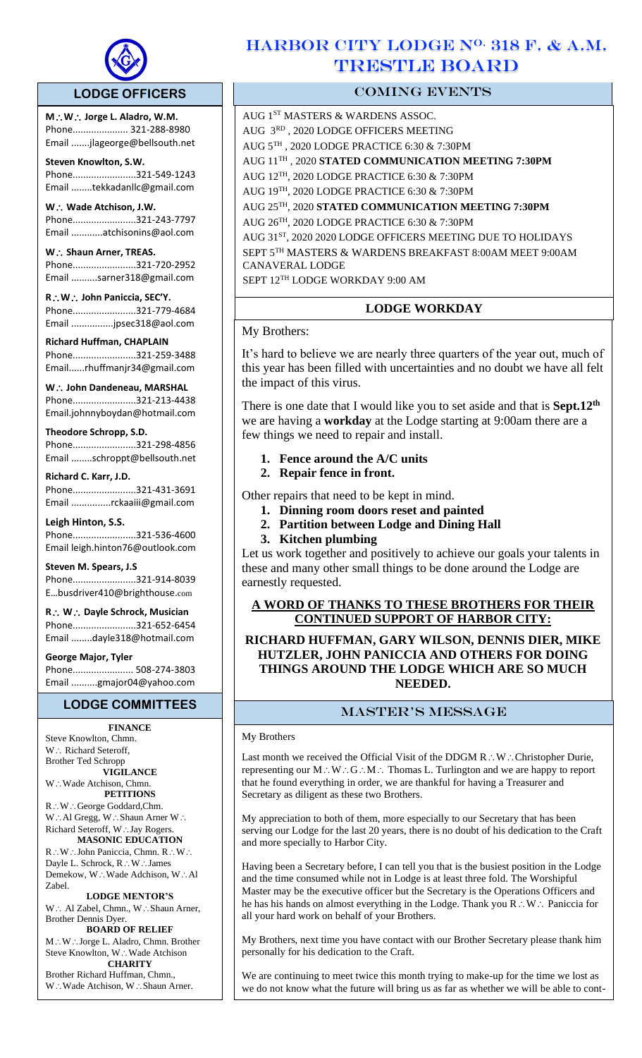

 $\overline{a}$ 

## **LODGE OFFICERS**

**MW Jorge L. Aladro, W.M.** Phone..................... 321-288-8980 Email .......jlageorge@bellsouth.net

**Steven Knowlton, S.W.** Phone........................321-549-1243 Email ........tekkadanllc@gmail.com

W.: Wade Atchison, J.W. Phone........................321-243-7797 Email ............atchisonins@aol.com

W.: Shaun Arner, TREAS. Phone........................321-720-2952 Email ..........sarner318@gmail.com

**RW John Paniccia, SEC'Y.** Phone........................321-779-4684 Email ................jpsec318@aol.com

**Richard Huffman, CHAPLAIN** Phone........................321-259-3488 Email......rhuffmanjr34@gmail.com

**W John Dandeneau, MARSHAL**  Phone........................321-213-4438 Email.johnnyboydan@hotmail.com

**Theodore Schropp, S.D.** 

Phone........................321-298-4856 Email ........schroppt@bellsouth.net

**Richard C. Karr, J.D.** Phone........................321-431-3691 Email ...............rckaaiii@gmail.com

**Leigh Hinton, S.S.** Phone........................321-536-4600 Email leigh.hinton76@outlook.com

**Steven M. Spears, J.S** Phone........................321-914-8039 E…busdriver410@brighthouse.com

**R W Dayle Schrock, Musician**  Phone........................321-652-6454 Email ........dayle318@hotmail.com

**George Major, Tyler**  Phone....................... 508-274-3803

Email ..........gmajor04@yahoo.com

## **LODGE COMMITTEES**

**FINANCE** Steve Knowlton, Chmn. W .: Richard Seteroff, Brother Ted Schropp **VIGILANCE** W∴Wade Atchison, Chmn. **PETITIONS**  $\mathsf{R}\mathop{\dot{\cdots}}\limits\mathsf{W}\mathop{\dot{\cdots}}\limits\mathsf{George}\ \, \text{Goddard}, \text{Chm}.$  $W:\mathbb{A}^1$  Gregg,  $W:\mathbb{A}^1$  Shaun Arner  $W:\mathbb{A}^1$ 

Richard Seteroff, W. Jay Rogers. **MASONIC EDUCATION** R∴W∴John Paniccia, Chmn. R∴W∴ Dayle L. Schrock, R∴W∴James Demekow, W∴Wade Adchison, W∴Al Zabel.

**LODGE MENTOR'S** W∴ Al Zabel, Chmn., W∴Shaun Arner, Brother Dennis Dyer.

**BOARD OF RELIEF** M∴W∴Jorge L. Aladro, Chmn. Brother Steve Knowlton, W∴Wade Atchison **CHARITY**

Brother Richard Huffman, Chmn., W: Wade Atchison, W.: Shaun Arner.

# HARBOR CITY LODGE  $N^0$ . 318 F. & A.M. TRESTLE BOARD

## COMING EVENTS

AUG 1ST MASTERS & WARDENS ASSOC. AUG 3RD , 2020 LODGE OFFICERS MEETING AUG 5TH , 2020 LODGE PRACTICE 6:30 & 7:30PM AUG 11TH , 2020 **STATED COMMUNICATION MEETING 7:30PM** AUG 12TH, 2020 LODGE PRACTICE 6:30 & 7:30PM AUG 19TH, 2020 LODGE PRACTICE 6:30 & 7:30PM AUG 25TH, 2020 **STATED COMMUNICATION MEETING 7:30PM** AUG 26 TH, 2020 LODGE PRACTICE 6:30 & 7:30PM AUG 31ST, 2020 2020 LODGE OFFICERS MEETING DUE TO HOLIDAYS SEPT 5TH MASTERS & WARDENS BREAKFAST 8:00AM MEET 9:00AM CANAVERAL LODGE SEPT 12TH LODGE WORKDAY 9:00 AM

## **LODGE WORKDAY**

My Brothers:

It's hard to believe we are nearly three quarters of the year out, much of this year has been filled with uncertainties and no doubt we have all felt the impact of this virus.

There is one date that I would like you to set aside and that is **Sept.12th** we are having a **workday** at the Lodge starting at 9:00am there are a few things we need to repair and install.

## **1. Fence around the A/C units**

**2. Repair fence in front.** 

Other repairs that need to be kept in mind.

- **1. Dinning room doors reset and painted**
- **2. Partition between Lodge and Dining Hall**
- **3. Kitchen plumbing**

Let us work together and positively to achieve our goals your talents in these and many other small things to be done around the Lodge are earnestly requested.

## **A WORD OF THANKS TO THESE BROTHERS FOR THEIR CONTINUED SUPPORT OF HARBOR CITY:**

## **RICHARD HUFFMAN, GARY WILSON, DENNIS DIER, MIKE HUTZLER, JOHN PANICCIA AND OTHERS FOR DOING THINGS AROUND THE LODGE WHICH ARE SO MUCH NEEDED.**

## master's message

#### My Brothers

Last month we received the Official Visit of the DDGM  $R : W :$  Christopher Durie, representing our  $M:W:G:M:$  Thomas L. Turlington and we are happy to report that he found everything in order, we are thankful for having a Treasurer and Secretary as diligent as these two Brothers.

My appreciation to both of them, more especially to our Secretary that has been serving our Lodge for the last 20 years, there is no doubt of his dedication to the Craft and more specially to Harbor City.

Having been a Secretary before, I can tell you that is the busiest position in the Lodge and the time consumed while not in Lodge is at least three fold. The Worshipful Master may be the executive officer but the Secretary is the Operations Officers and he has his hands on almost everything in the Lodge. Thank you  $R:W:$  Paniccia for all your hard work on behalf of your Brothers.

My Brothers, next time you have contact with our Brother Secretary please thank him personally for his dedication to the Craft.

We are continuing to meet twice this month trying to make-up for the time we lost as we do not know what the future will bring us as far as whether we will be able to cont-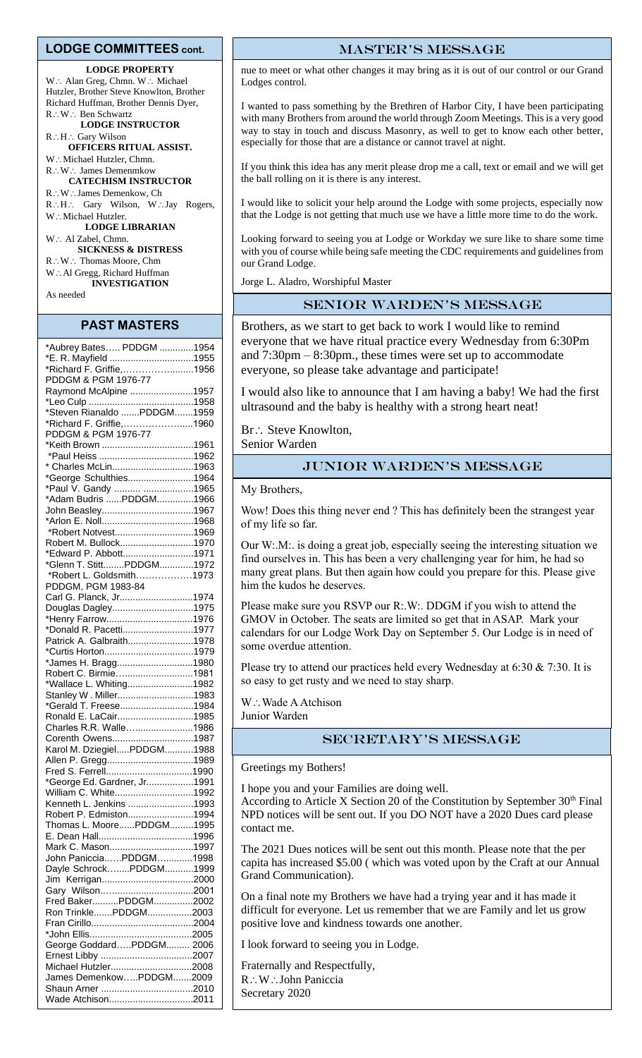#### **LODGE COMMITTEES cont.**

#### **LODGE PROPERTY**

W .: Alan Greg, Chmn. W .: Michael Hutzler, Brother Steve Knowlton, Brother Richard Huffman, Brother Dennis Dyer, R∴W∴ Ben Schwartz **LODGE INSTRUCTOR** R∴H∴ Gary Wilson **OFFICERS RITUAL ASSIST.** W∴Michael Hutzler, Chmn. R: W: James Demenmkow **CATECHISM INSTRUCTOR** R∴W∴James Demenkow, Ch R.H.: Gary Wilson, W.:Jay Rogers, W.: Michael Hutzler. **LODGE LIBRARIAN** W ∴ Al Zabel, Chmn. **SICKNESS & DISTRESS** R∴W ∴ Thomas Moore, Chm W∴Al Gregg, Richard Huffman **INVESTIGATION**

As needed

#### **PAST MASTERS**

| *Aubrey Bates PDDGM 1954    |  |
|-----------------------------|--|
| *E. R. Mayfield 1955        |  |
| *Richard F. Griffie,1956    |  |
| PDDGM & PGM 1976-77         |  |
| Raymond McAlpine 1957       |  |
|                             |  |
| *Steven Rianaldo PDDGM1959  |  |
| *Richard F. Griffie,1960    |  |
| PDDGM & PGM 1976-77         |  |
| *Keith Brown 1961           |  |
|                             |  |
| * Charles McLin1963         |  |
| *George Schulthies1964      |  |
|                             |  |
| *Paul V. Gandy  1965        |  |
| *Adam Budris PDDGM1966      |  |
| John Beasley1967            |  |
|                             |  |
| *Robert Notvest1969         |  |
| Robert M. Bullock1970       |  |
| *Edward P. Abbott1971       |  |
| *Glenn T. StittPDDGM1972    |  |
| *Robert L. Goldsmith1973    |  |
| PDDGM, PGM 1983-84          |  |
| Carl G. Planck, Jr1974      |  |
| Douglas Dagley1975          |  |
| *Henry Farrow1976           |  |
| *Donald R. Pacetti1977      |  |
| Patrick A. Galbraith1978    |  |
|                             |  |
| *James H. Bragg1980         |  |
| Robert C. Birmie1981        |  |
| *Wallace L. Whiting1982     |  |
| Stanley W. Miller1983       |  |
| *Gerald T. Freese1984       |  |
| Ronald E. LaCair1985        |  |
| Charles R.R. Walle1986      |  |
|                             |  |
| Corenth Owens1987           |  |
| Karol M. DziegielPDDGM1988  |  |
| Allen P. Gregg1989          |  |
| Fred S. Ferrell1990         |  |
| *George Ed. Gardner, Jr1991 |  |
| William C. White1992        |  |
| Kenneth L. Jenkins 1993     |  |
| Robert P. Edmiston1994      |  |
| Thomas L. MoorePDDGM1995    |  |
|                             |  |
| Mark C. Mason1997           |  |
| John PanicciaPDDGM1998      |  |
| Dayle SchrockPDDGM1999      |  |
|                             |  |
|                             |  |
| Fred BakerPDDGM2002         |  |
| Ron TrinklePDDGM2003        |  |
|                             |  |
|                             |  |
| George GoddardPDDGM 2006    |  |
|                             |  |
| Michael Hutzler2008         |  |
| James DemenkowPDDGM2009     |  |
|                             |  |
| Wade Atchison2011           |  |
|                             |  |

#### master's message

nue to meet or what other changes it may bring as it is out of our control or our Grand Lodges control.

I wanted to pass something by the Brethren of Harbor City, I have been participating with many Brothers from around the world through Zoom Meetings. This is a very good way to stay in touch and discuss Masonry, as well to get to know each other better, especially for those that are a distance or cannot travel at night.

If you think this idea has any merit please drop me a call, text or email and we will get the ball rolling on it is there is any interest.

I would like to solicit your help around the Lodge with some projects, especially now that the Lodge is not getting that much use we have a little more time to do the work.

Looking forward to seeing you at Lodge or Workday we sure like to share some time with you of course while being safe meeting the CDC requirements and guidelines from our Grand Lodge.

Jorge L. Aladro, Worshipful Master

#### Senior Warden's message

Brothers, as we start to get back to work I would like to remind everyone that we have ritual practice every Wednesday from 6:30Pm and 7:30pm – 8:30pm., these times were set up to accommodate everyone, so please take advantage and participate!

I would also like to announce that I am having a baby! We had the first ultrasound and the baby is healthy with a strong heart neat!

Br .: Steve Knowlton,

Senior Warden

### Junior Warden's message

My Brothers,

Wow! Does this thing never end ? This has definitely been the strangest year of my life so far.

Our W:.M:. is doing a great job, especially seeing the interesting situation we find ourselves in. This has been a very challenging year for him, he had so many great plans. But then again how could you prepare for this. Please give him the kudos he deserves.

Please make sure you RSVP our R:.W:. DDGM if you wish to attend the GMOV in October. The seats are limited so get that in ASAP. Mark your calendars for our Lodge Work Day on September 5. Our Lodge is in need of some overdue attention.

Please try to attend our practices held every Wednesday at 6:30 & 7:30. It is so easy to get rusty and we need to stay sharp.

 $W:$  Wade A Atchison Junior Warden

## Secretary's message

Greetings my Bothers!

I hope you and your Families are doing well.

According to Article X Section 20 of the Constitution by September  $30<sup>th</sup>$  Final NPD notices will be sent out. If you DO NOT have a 2020 Dues card please contact me.

The 2021 Dues notices will be sent out this month. Please note that the per capita has increased \$5.00 ( which was voted upon by the Craft at our Annual Grand Communication).

On a final note my Brothers we have had a trying year and it has made it difficult for everyone. Let us remember that we are Family and let us grow positive love and kindness towards one another.

I look forward to seeing you in Lodge.

Fraternally and Respectfully, R: W: John Paniccia Secretary 2020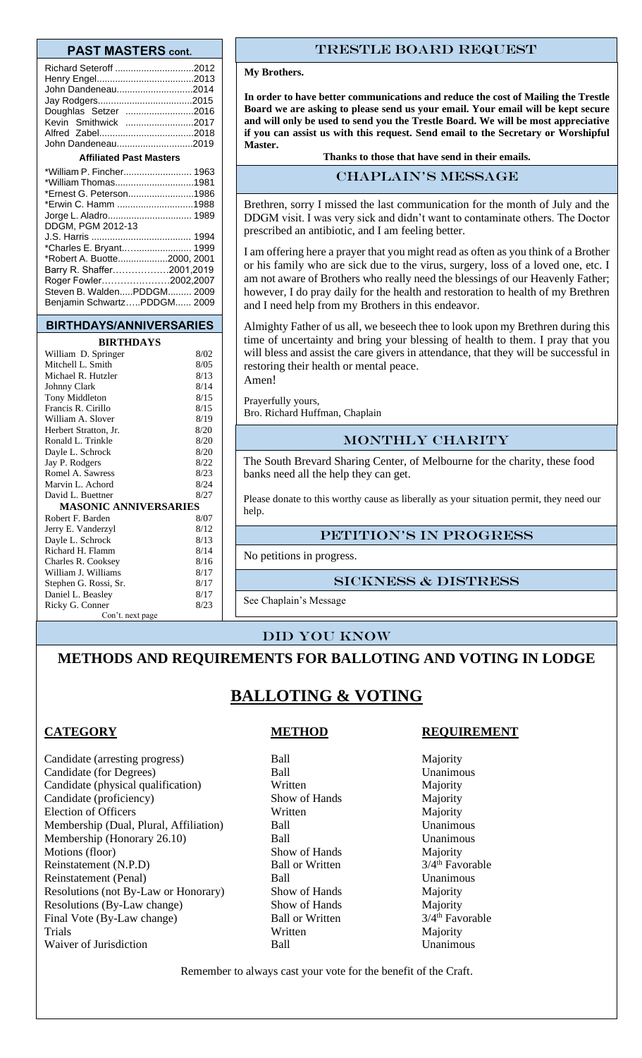#### **PAST MASTERS cont.**

| Richard Seteroff 2012          |  |  |  |  |
|--------------------------------|--|--|--|--|
|                                |  |  |  |  |
| John Dandeneau2014             |  |  |  |  |
|                                |  |  |  |  |
| Doughlas Setzer 2016           |  |  |  |  |
| Kevin Smithwick 2017           |  |  |  |  |
|                                |  |  |  |  |
| John Dandeneau2019             |  |  |  |  |
| <b>Affiliated Past Masters</b> |  |  |  |  |
| *William P. Fincher 1963       |  |  |  |  |
| *William Thomas1981            |  |  |  |  |
| *Ernest G. Peterson1986        |  |  |  |  |
| *Erwin C. Hamm 1988            |  |  |  |  |

| DDGM, PGM 2012-13           |  |
|-----------------------------|--|
|                             |  |
| *Charles E. Bryant 1999     |  |
| *Robert A. Buotte2000, 2001 |  |
| Barry R. Shaffer2001,2019   |  |
| Roger Fowler2002,2007       |  |
| Steven B. WaldenPDDGM 2009  |  |
| Benjamin SchwartzPDDGM 2009 |  |

#### **BIRTHDAYS/ANNIVERSARIES**

### **BIRTHDAYS**

| William D. Springer          | 8/02 |  |  |  |  |
|------------------------------|------|--|--|--|--|
| Mitchell L. Smith            |      |  |  |  |  |
| Michael R. Hutzler           |      |  |  |  |  |
| Johnny Clark                 | 8/14 |  |  |  |  |
| Tony Middleton               | 8/15 |  |  |  |  |
| Francis R. Cirillo           | 8/15 |  |  |  |  |
| William A. Slover            | 8/19 |  |  |  |  |
| Herbert Stratton, Jr.        | 8/20 |  |  |  |  |
| Ronald L. Trinkle            | 8/20 |  |  |  |  |
| Dayle L. Schrock             | 8/20 |  |  |  |  |
| Jay P. Rodgers               | 8/22 |  |  |  |  |
| Romel A. Sawress             | 8/23 |  |  |  |  |
| Marvin L. Achord             | 8/24 |  |  |  |  |
| David L. Buettner            | 8/27 |  |  |  |  |
| <b>MASONIC ANNIVERSARIES</b> |      |  |  |  |  |
| Robert F. Barden             | 8/07 |  |  |  |  |
| Jerry E. Vanderzyl           | 8/12 |  |  |  |  |
| Dayle L. Schrock             | 8/13 |  |  |  |  |
| Richard H. Flamm             | 8/14 |  |  |  |  |
| Charles R. Cooksey           | 8/16 |  |  |  |  |
| William J. Williams          | 8/17 |  |  |  |  |
| Stephen G. Rossi, Sr.        | 8/17 |  |  |  |  |
| Daniel L. Beasley            | 8/17 |  |  |  |  |
| Ricky G. Conner              | 8/23 |  |  |  |  |
| Con't. next page             |      |  |  |  |  |

#### Trestle board request

#### **My Brothers.**

**In order to have better communications and reduce the cost of Mailing the Trestle Board we are asking to please send us your email. Your email will be kept secure and will only be used to send you the Trestle Board. We will be most appreciative if you can assist us with this request. Send email to the Secretary or Worshipful Master.**

**Thanks to those that have send in their emails.**

### CHAPLAIN's message

Brethren, sorry I missed the last communication for the month of July and the DDGM visit. I was very sick and didn't want to contaminate others. The Doctor prescribed an antibiotic, and I am feeling better.

I am offering here a prayer that you might read as often as you think of a Brother or his family who are sick due to the virus, surgery, loss of a loved one, etc. I am not aware of Brothers who really need the blessings of our Heavenly Father; however, I do pray daily for the health and restoration to health of my Brethren and I need help from my Brothers in this endeavor.

Almighty Father of us all, we beseech thee to look upon my Brethren during this time of uncertainty and bring your blessing of health to them. I pray that you will bless and assist the care givers in attendance, that they will be successful in restoring their health or mental peace. Amen!

Prayerfully yours,

Bro. Richard Huffman, Chaplain

#### MONTHLY CHARITY

The South Brevard Sharing Center, of Melbourne for the charity, these food banks need all the help they can get.

Please donate to this worthy cause as liberally as your situation permit, they need our help.

#### Petition's in progress

No petitions in progress.

#### Sickness & distress

See Chaplain's Message

#### Did you know

## **METHODS AND REQUIREMENTS FOR BALLOTING AND VOTING IN LODGE**

## **BALLOTING & VOTING**

Candidate (arresting progress) Ball Majority Candidate (for Degrees) Ball Unanimous Candidate (physical qualification) Written Majority<br>Candidate (proficiency) Show of Hands Majority Candidate (proficiency) Show of Hands Majority<br>Election of Officers Written Majority Election of Officers Written Membership (Dual, Plural, Affiliation) Ball Unanimous Membership (Honorary 26.10) Ball Unanimous Motions (floor) Show of Hands Majority Reinstatement (N.P.D) Ball or Written 3/4<sup>th</sup> Favorable Reinstatement (Penal) Ball Ball Unanimous Resolutions (not By-Law or Honorary) Show of Hands Majority<br>
Resolutions (By-Law change) Show of Hands Majority<br>
Majority Resolutions (By-Law change) Show of Hands Majority Final Vote (By-Law change) Ball or Written 3/4<sup>th</sup> Favorable Trials Majority Waiver of Jurisdiction **Ball** Ball **Example 2018** Unanimous

### **CATEGORY METHOD REQUIREMENT**

Remember to always cast your vote for the benefit of the Craft.